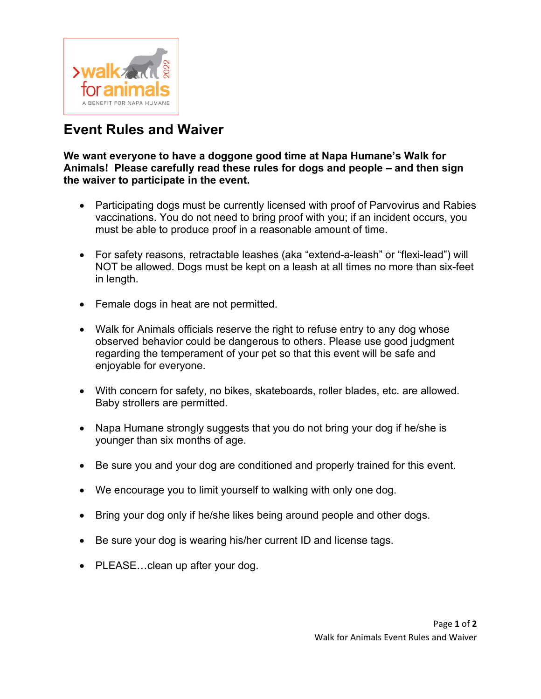

## **Event Rules and Waiver**

**We want everyone to have a doggone good time at Napa Humane's Walk for Animals! Please carefully read these rules for dogs and people – and then sign the waiver to participate in the event.**

- Participating dogs must be currently licensed with proof of Parvovirus and Rabies vaccinations. You do not need to bring proof with you; if an incident occurs, you must be able to produce proof in a reasonable amount of time.
- For safety reasons, retractable leashes (aka "extend-a-leash" or "flexi-lead") will NOT be allowed. Dogs must be kept on a leash at all times no more than six-feet in length.
- Female dogs in heat are not permitted.
- Walk for Animals officials reserve the right to refuse entry to any dog whose observed behavior could be dangerous to others. Please use good judgment regarding the temperament of your pet so that this event will be safe and enjoyable for everyone.
- With concern for safety, no bikes, skateboards, roller blades, etc. are allowed. Baby strollers are permitted.
- Napa Humane strongly suggests that you do not bring your dog if he/she is younger than six months of age.
- Be sure you and your dog are conditioned and properly trained for this event.
- We encourage you to limit yourself to walking with only one dog.
- Bring your dog only if he/she likes being around people and other dogs.
- Be sure your dog is wearing his/her current ID and license tags.
- PLEASE...clean up after your dog.